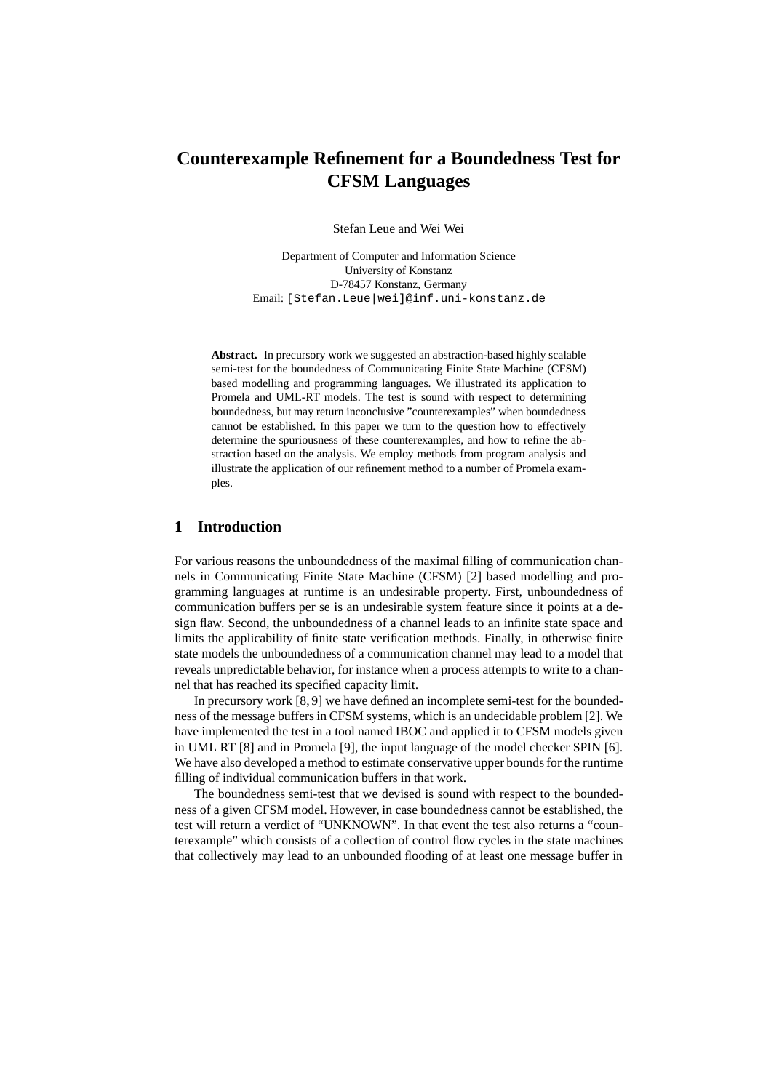# **Counterexample Refinement for a Boundedness Test for CFSM Languages**

Stefan Leue and Wei Wei

Department of Computer and Information Science University of Konstanz D-78457 Konstanz, Germany Email: [Stefan.Leue|wei]@inf.uni-konstanz.de

**Abstract.** In precursory work we suggested an abstraction-based highly scalable semi-test for the boundedness of Communicating Finite State Machine (CFSM) based modelling and programming languages. We illustrated its application to Promela and UML-RT models. The test is sound with respect to determining boundedness, but may return inconclusive "counterexamples" when boundedness cannot be established. In this paper we turn to the question how to effectively determine the spuriousness of these counterexamples, and how to refine the abstraction based on the analysis. We employ methods from program analysis and illustrate the application of our refinement method to a number of Promela examples.

## **1 Introduction**

For various reasons the unboundedness of the maximal filling of communication channels in Communicating Finite State Machine (CFSM) [2] based modelling and programming languages at runtime is an undesirable property. First, unboundedness of communication buffers per se is an undesirable system feature since it points at a design flaw. Second, the unboundedness of a channel leads to an infinite state space and limits the applicability of finite state verification methods. Finally, in otherwise finite state models the unboundedness of a communication channel may lead to a model that reveals unpredictable behavior, for instance when a process attempts to write to a channel that has reached its specified capacity limit.

In precursory work [8, 9] we have defined an incomplete semi-test for the boundedness of the message buffers in CFSM systems, which is an undecidable problem [2]. We have implemented the test in a tool named IBOC and applied it to CFSM models given in UML RT [8] and in Promela [9], the input language of the model checker SPIN [6]. We have also developed a method to estimate conservative upper bounds for the runtime filling of individual communication buffers in that work.

The boundedness semi-test that we devised is sound with respect to the boundedness of a given CFSM model. However, in case boundedness cannot be established, the test will return a verdict of "UNKNOWN". In that event the test also returns a "counterexample" which consists of a collection of control flow cycles in the state machines that collectively may lead to an unbounded flooding of at least one message buffer in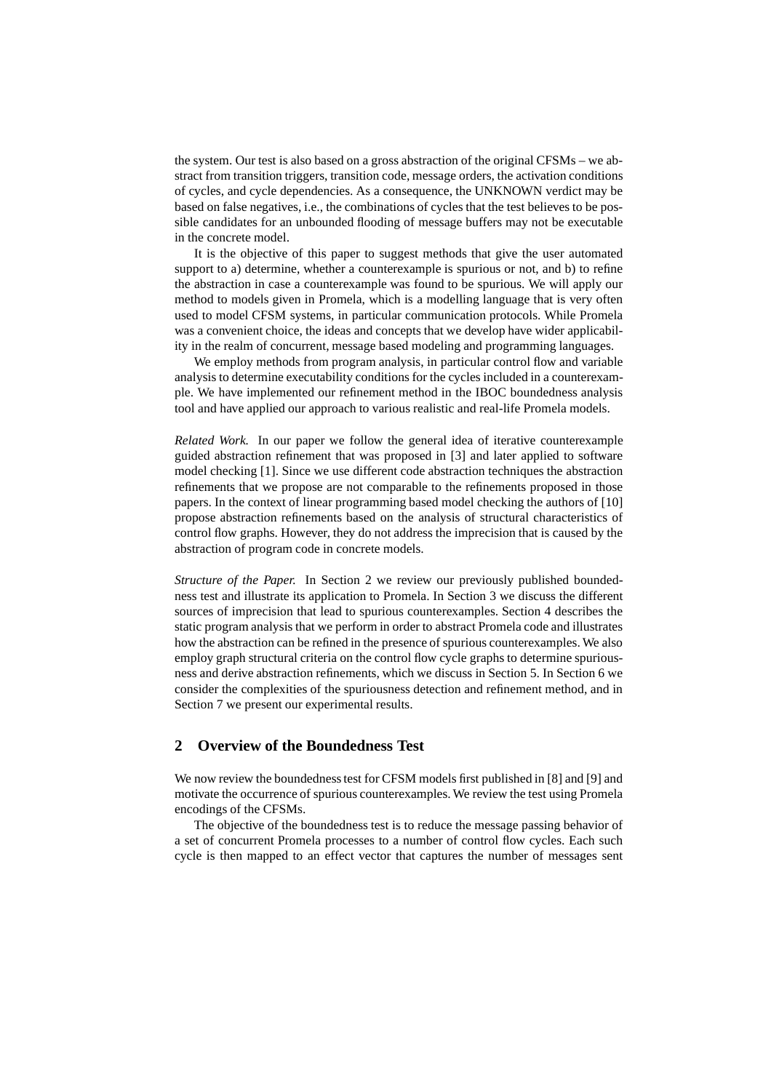the system. Our test is also based on a gross abstraction of the original CFSMs – we abstract from transition triggers, transition code, message orders, the activation conditions of cycles, and cycle dependencies. As a consequence, the UNKNOWN verdict may be based on false negatives, i.e., the combinations of cycles that the test believes to be possible candidates for an unbounded flooding of message buffers may not be executable in the concrete model.

It is the objective of this paper to suggest methods that give the user automated support to a) determine, whether a counterexample is spurious or not, and b) to refine the abstraction in case a counterexample was found to be spurious. We will apply our method to models given in Promela, which is a modelling language that is very often used to model CFSM systems, in particular communication protocols. While Promela was a convenient choice, the ideas and concepts that we develop have wider applicability in the realm of concurrent, message based modeling and programming languages.

We employ methods from program analysis, in particular control flow and variable analysis to determine executability conditions for the cycles included in a counterexample. We have implemented our refinement method in the IBOC boundedness analysis tool and have applied our approach to various realistic and real-life Promela models.

*Related Work.* In our paper we follow the general idea of iterative counterexample guided abstraction refinement that was proposed in [3] and later applied to software model checking [1]. Since we use different code abstraction techniques the abstraction refinements that we propose are not comparable to the refinements proposed in those papers. In the context of linear programming based model checking the authors of [10] propose abstraction refinements based on the analysis of structural characteristics of control flow graphs. However, they do not address the imprecision that is caused by the abstraction of program code in concrete models.

*Structure of the Paper.* In Section 2 we review our previously published boundedness test and illustrate its application to Promela. In Section 3 we discuss the different sources of imprecision that lead to spurious counterexamples. Section 4 describes the static program analysis that we perform in order to abstract Promela code and illustrates how the abstraction can be refined in the presence of spurious counterexamples. We also employ graph structural criteria on the control flow cycle graphs to determine spuriousness and derive abstraction refinements, which we discuss in Section 5. In Section 6 we consider the complexities of the spuriousness detection and refinement method, and in Section 7 we present our experimental results.

# **2 Overview of the Boundedness Test**

We now review the boundedness test for CFSM models first published in [8] and [9] and motivate the occurrence of spurious counterexamples. We review the test using Promela encodings of the CFSMs.

The objective of the boundedness test is to reduce the message passing behavior of a set of concurrent Promela processes to a number of control flow cycles. Each such cycle is then mapped to an effect vector that captures the number of messages sent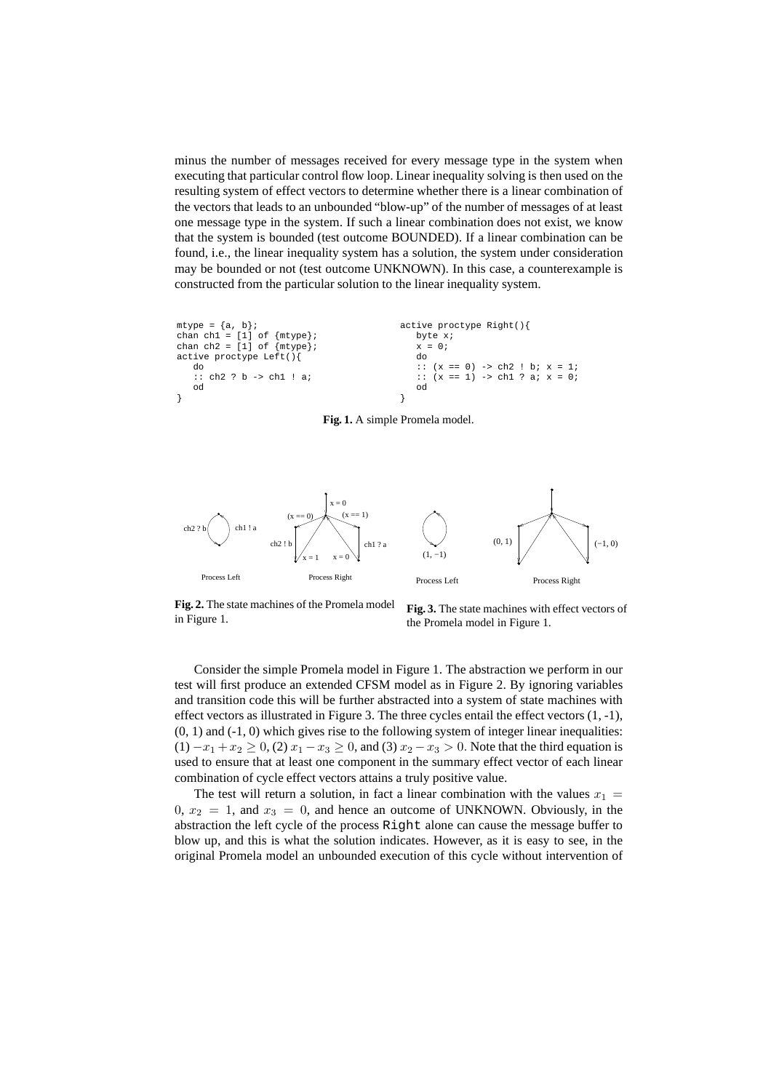minus the number of messages received for every message type in the system when executing that particular control flow loop. Linear inequality solving is then used on the resulting system of effect vectors to determine whether there is a linear combination of the vectors that leads to an unbounded "blow-up" of the number of messages of at least one message type in the system. If such a linear combination does not exist, we know that the system is bounded (test outcome BOUNDED). If a linear combination can be found, i.e., the linear inequality system has a solution, the system under consideration may be bounded or not (test outcome UNKNOWN). In this case, a counterexample is constructed from the particular solution to the linear inequality system.

```
mtype = {a, b};chan ch1 = [1] of {mtype};
chan ch2 = [1] of {mtype};
active proctype Left(){
   do
   :: ch2 ? b -> ch1 ! a;
   od
}
                                                      active proctype Right(){
                                                         byte x;
                                                          x = 0;do
                                                          :: (x == 0) \rightarrow ch2 ! b; x = 1;<br>:: (x == 1) \rightarrow ch1 ? a; x = 0;
                                                          od
                                                      }
```




**Fig. 2.** The state machines of the Promela model in Figure 1.

**Fig. 3.** The state machines with effect vectors of the Promela model in Figure 1.

Consider the simple Promela model in Figure 1. The abstraction we perform in our test will first produce an extended CFSM model as in Figure 2. By ignoring variables and transition code this will be further abstracted into a system of state machines with effect vectors as illustrated in Figure 3. The three cycles entail the effect vectors  $(1, -1)$ ,  $(0, 1)$  and  $(-1, 0)$  which gives rise to the following system of integer linear inequalities:  $(1) -x_1 +x_2 \ge 0$ ,  $(2)$   $x_1 -x_3 \ge 0$ , and  $(3)$   $x_2 -x_3 > 0$ . Note that the third equation is used to ensure that at least one component in the summary effect vector of each linear combination of cycle effect vectors attains a truly positive value.

The test will return a solution, in fact a linear combination with the values  $x_1 =$  $0, x_2 = 1$ , and  $x_3 = 0$ , and hence an outcome of UNKNOWN. Obviously, in the abstraction the left cycle of the process Right alone can cause the message buffer to blow up, and this is what the solution indicates. However, as it is easy to see, in the original Promela model an unbounded execution of this cycle without intervention of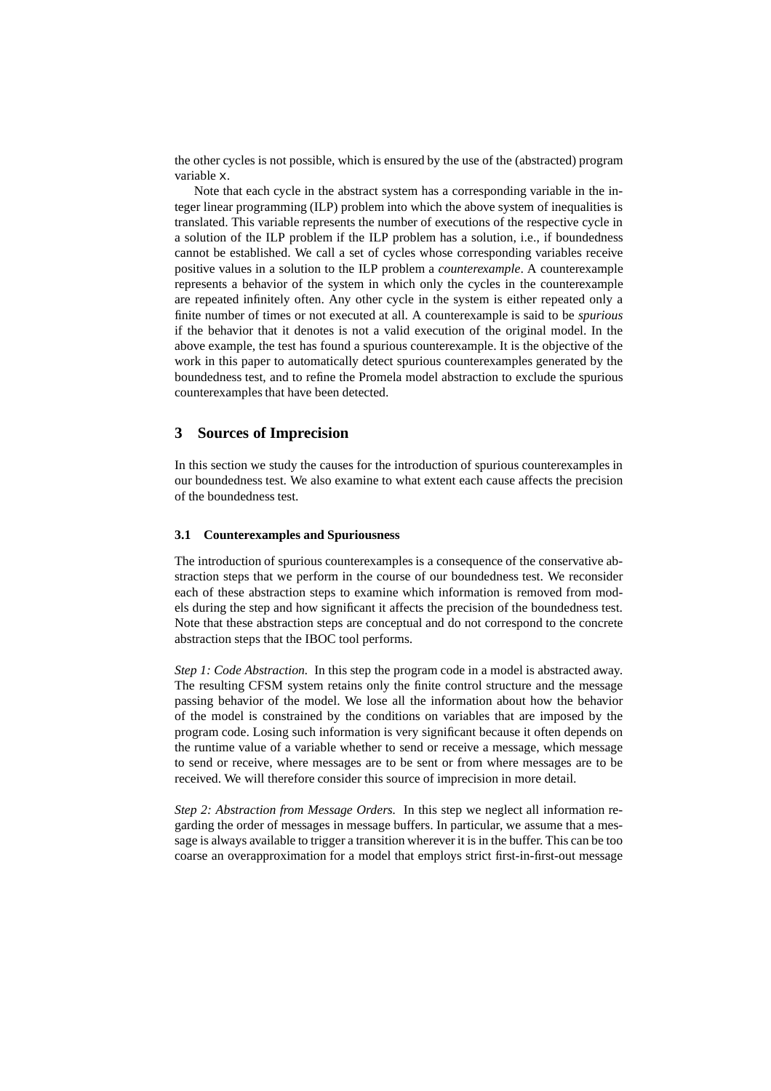the other cycles is not possible, which is ensured by the use of the (abstracted) program variable x.

Note that each cycle in the abstract system has a corresponding variable in the integer linear programming (ILP) problem into which the above system of inequalities is translated. This variable represents the number of executions of the respective cycle in a solution of the ILP problem if the ILP problem has a solution, i.e., if boundedness cannot be established. We call a set of cycles whose corresponding variables receive positive values in a solution to the ILP problem a *counterexample*. A counterexample represents a behavior of the system in which only the cycles in the counterexample are repeated infinitely often. Any other cycle in the system is either repeated only a finite number of times or not executed at all. A counterexample is said to be *spurious* if the behavior that it denotes is not a valid execution of the original model. In the above example, the test has found a spurious counterexample. It is the objective of the work in this paper to automatically detect spurious counterexamples generated by the boundedness test, and to refine the Promela model abstraction to exclude the spurious counterexamples that have been detected.

# **3 Sources of Imprecision**

In this section we study the causes for the introduction of spurious counterexamples in our boundedness test. We also examine to what extent each cause affects the precision of the boundedness test.

#### **3.1 Counterexamples and Spuriousness**

The introduction of spurious counterexamples is a consequence of the conservative abstraction steps that we perform in the course of our boundedness test. We reconsider each of these abstraction steps to examine which information is removed from models during the step and how significant it affects the precision of the boundedness test. Note that these abstraction steps are conceptual and do not correspond to the concrete abstraction steps that the IBOC tool performs.

*Step 1: Code Abstraction.* In this step the program code in a model is abstracted away. The resulting CFSM system retains only the finite control structure and the message passing behavior of the model. We lose all the information about how the behavior of the model is constrained by the conditions on variables that are imposed by the program code. Losing such information is very significant because it often depends on the runtime value of a variable whether to send or receive a message, which message to send or receive, where messages are to be sent or from where messages are to be received. We will therefore consider this source of imprecision in more detail.

*Step 2: Abstraction from Message Orders.* In this step we neglect all information regarding the order of messages in message buffers. In particular, we assume that a message is always available to trigger a transition wherever it is in the buffer. This can be too coarse an overapproximation for a model that employs strict first-in-first-out message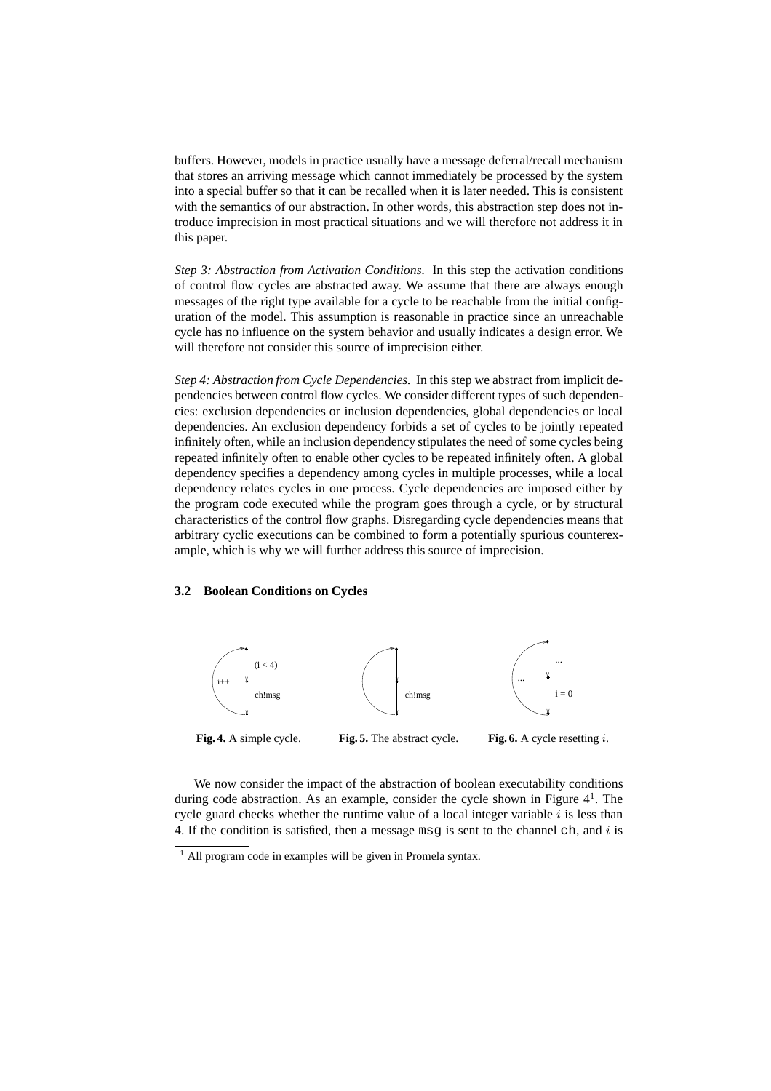buffers. However, models in practice usually have a message deferral/recall mechanism that stores an arriving message which cannot immediately be processed by the system into a special buffer so that it can be recalled when it is later needed. This is consistent with the semantics of our abstraction. In other words, this abstraction step does not introduce imprecision in most practical situations and we will therefore not address it in this paper.

*Step 3: Abstraction from Activation Conditions.* In this step the activation conditions of control flow cycles are abstracted away. We assume that there are always enough messages of the right type available for a cycle to be reachable from the initial configuration of the model. This assumption is reasonable in practice since an unreachable cycle has no influence on the system behavior and usually indicates a design error. We will therefore not consider this source of imprecision either.

*Step 4: Abstraction from Cycle Dependencies.* In this step we abstract from implicit dependencies between control flow cycles. We consider different types of such dependencies: exclusion dependencies or inclusion dependencies, global dependencies or local dependencies. An exclusion dependency forbids a set of cycles to be jointly repeated infinitely often, while an inclusion dependency stipulates the need of some cycles being repeated infinitely often to enable other cycles to be repeated infinitely often. A global dependency specifies a dependency among cycles in multiple processes, while a local dependency relates cycles in one process. Cycle dependencies are imposed either by the program code executed while the program goes through a cycle, or by structural characteristics of the control flow graphs. Disregarding cycle dependencies means that arbitrary cyclic executions can be combined to form a potentially spurious counterexample, which is why we will further address this source of imprecision.

#### **3.2 Boolean Conditions on Cycles**



**Fig. 4.** A simple cycle.

**Fig. 5.** The abstract cycle.

**Fig. 6.** A cycle resetting i.

We now consider the impact of the abstraction of boolean executability conditions during code abstraction. As an example, consider the cycle shown in Figure 4<sup>1</sup>. The cycle guard checks whether the runtime value of a local integer variable  $i$  is less than 4. If the condition is satisfied, then a message msq is sent to the channel ch, and i is

 $1$  All program code in examples will be given in Promela syntax.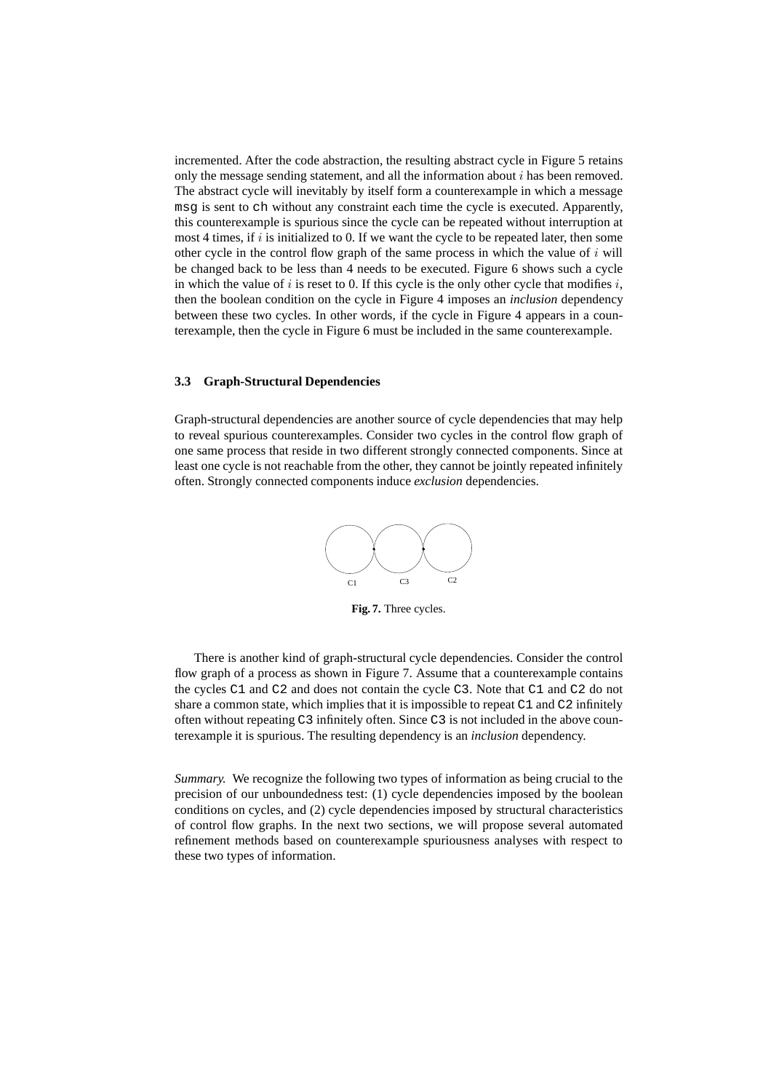incremented. After the code abstraction, the resulting abstract cycle in Figure 5 retains only the message sending statement, and all the information about  $i$  has been removed. The abstract cycle will inevitably by itself form a counterexample in which a message msg is sent to ch without any constraint each time the cycle is executed. Apparently, this counterexample is spurious since the cycle can be repeated without interruption at most 4 times, if  $i$  is initialized to 0. If we want the cycle to be repeated later, then some other cycle in the control flow graph of the same process in which the value of  $i$  will be changed back to be less than 4 needs to be executed. Figure 6 shows such a cycle in which the value of i is reset to 0. If this cycle is the only other cycle that modifies i, then the boolean condition on the cycle in Figure 4 imposes an *inclusion* dependency between these two cycles. In other words, if the cycle in Figure 4 appears in a counterexample, then the cycle in Figure 6 must be included in the same counterexample.

#### **3.3 Graph-Structural Dependencies**

Graph-structural dependencies are another source of cycle dependencies that may help to reveal spurious counterexamples. Consider two cycles in the control flow graph of one same process that reside in two different strongly connected components. Since at least one cycle is not reachable from the other, they cannot be jointly repeated infinitely often. Strongly connected components induce *exclusion* dependencies.



**Fig. 7.** Three cycles.

There is another kind of graph-structural cycle dependencies. Consider the control flow graph of a process as shown in Figure 7. Assume that a counterexample contains the cycles C1 and C2 and does not contain the cycle C3. Note that C1 and C2 do not share a common state, which implies that it is impossible to repeat C1 and C2 infinitely often without repeating C3 infinitely often. Since C3 is not included in the above counterexample it is spurious. The resulting dependency is an *inclusion* dependency.

*Summary.* We recognize the following two types of information as being crucial to the precision of our unboundedness test: (1) cycle dependencies imposed by the boolean conditions on cycles, and (2) cycle dependencies imposed by structural characteristics of control flow graphs. In the next two sections, we will propose several automated refinement methods based on counterexample spuriousness analyses with respect to these two types of information.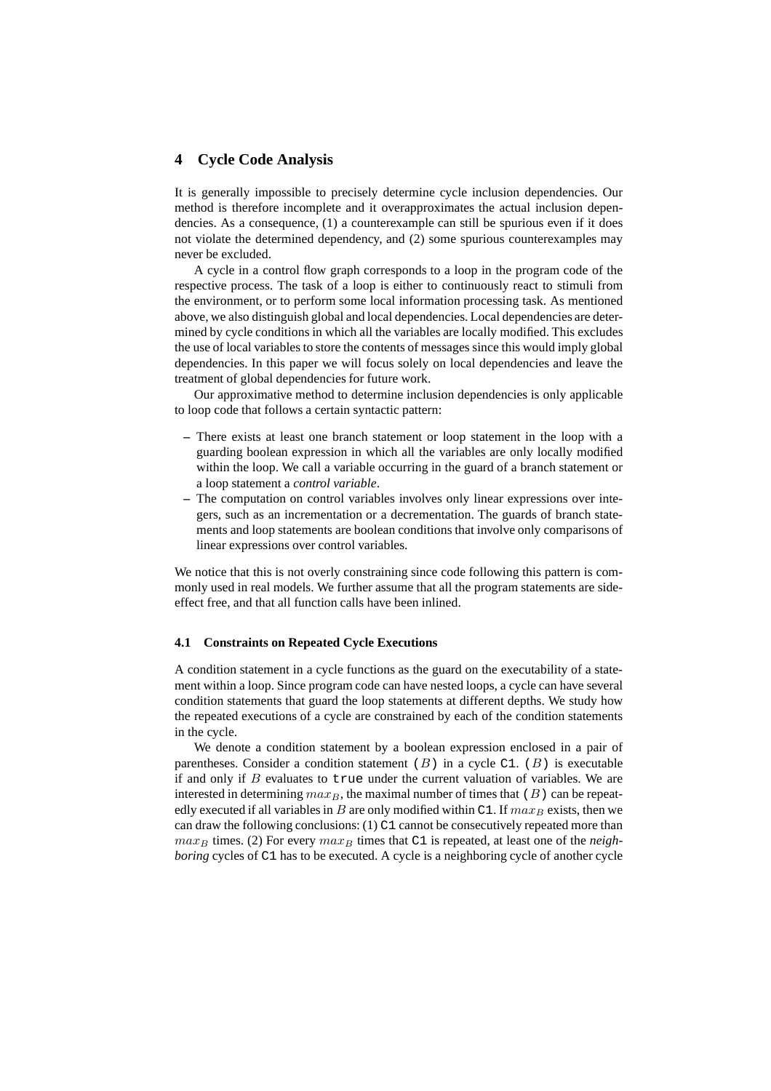## **4 Cycle Code Analysis**

It is generally impossible to precisely determine cycle inclusion dependencies. Our method is therefore incomplete and it overapproximates the actual inclusion dependencies. As a consequence, (1) a counterexample can still be spurious even if it does not violate the determined dependency, and (2) some spurious counterexamples may never be excluded.

A cycle in a control flow graph corresponds to a loop in the program code of the respective process. The task of a loop is either to continuously react to stimuli from the environment, or to perform some local information processing task. As mentioned above, we also distinguish global and local dependencies. Local dependencies are determined by cycle conditions in which all the variables are locally modified. This excludes the use of local variables to store the contents of messages since this would imply global dependencies. In this paper we will focus solely on local dependencies and leave the treatment of global dependencies for future work.

Our approximative method to determine inclusion dependencies is only applicable to loop code that follows a certain syntactic pattern:

- **–** There exists at least one branch statement or loop statement in the loop with a guarding boolean expression in which all the variables are only locally modified within the loop. We call a variable occurring in the guard of a branch statement or a loop statement a *control variable*.
- **–** The computation on control variables involves only linear expressions over integers, such as an incrementation or a decrementation. The guards of branch statements and loop statements are boolean conditions that involve only comparisons of linear expressions over control variables.

We notice that this is not overly constraining since code following this pattern is commonly used in real models. We further assume that all the program statements are sideeffect free, and that all function calls have been inlined.

#### **4.1 Constraints on Repeated Cycle Executions**

A condition statement in a cycle functions as the guard on the executability of a statement within a loop. Since program code can have nested loops, a cycle can have several condition statements that guard the loop statements at different depths. We study how the repeated executions of a cycle are constrained by each of the condition statements in the cycle.

We denote a condition statement by a boolean expression enclosed in a pair of parentheses. Consider a condition statement ( $B$ ) in a cycle C1. ( $B$ ) is executable if and only if  $B$  evaluates to true under the current valuation of variables. We are interested in determining  $max_B$ , the maximal number of times that (B) can be repeatedly executed if all variables in B are only modified within C1. If  $max_B$  exists, then we can draw the following conclusions: (1) C1 cannot be consecutively repeated more than  $max_B$  times. (2) For every  $max_B$  times that C1 is repeated, at least one of the *neighboring* cycles of C1 has to be executed. A cycle is a neighboring cycle of another cycle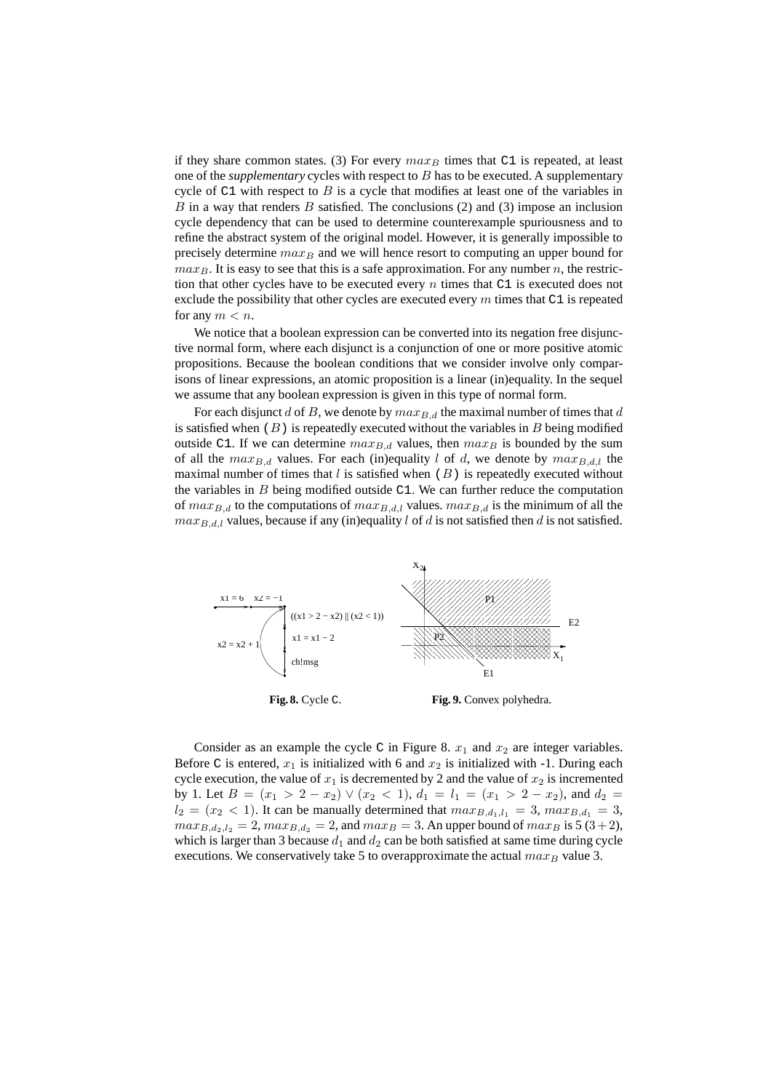if they share common states. (3) For every  $max_B$  times that C1 is repeated, at least one of the *supplementary* cycles with respect to B has to be executed. A supplementary cycle of  $C1$  with respect to  $B$  is a cycle that modifies at least one of the variables in B in a way that renders B satisfied. The conclusions  $(2)$  and  $(3)$  impose an inclusion cycle dependency that can be used to determine counterexample spuriousness and to refine the abstract system of the original model. However, it is generally impossible to precisely determine  $max_B$  and we will hence resort to computing an upper bound for  $max_B$ . It is easy to see that this is a safe approximation. For any number n, the restriction that other cycles have to be executed every  $n$  times that C1 is executed does not exclude the possibility that other cycles are executed every  $m$  times that  $C1$  is repeated for any  $m < n$ .

We notice that a boolean expression can be converted into its negation free disjunctive normal form, where each disjunct is a conjunction of one or more positive atomic propositions. Because the boolean conditions that we consider involve only comparisons of linear expressions, an atomic proposition is a linear (in)equality. In the sequel we assume that any boolean expression is given in this type of normal form.

For each disjunct d of B, we denote by  $max_{B,d}$  the maximal number of times that d is satisfied when  $(B)$  is repeatedly executed without the variables in B being modified outside C1. If we can determine  $max_{B,d}$  values, then  $max_B$  is bounded by the sum of all the  $max_{B,d}$  values. For each (in)equality l of d, we denote by  $max_{B,d,l}$  the maximal number of times that  $l$  is satisfied when  $(B)$  is repeatedly executed without the variables in  $B$  being modified outside C1. We can further reduce the computation of  $max_{B,d}$  to the computations of  $max_{B,d,l}$  values.  $max_{B,d}$  is the minimum of all the  $max_{B,d,l}$  values, because if any (in)equality l of d is not satisfied then d is not satisfied.



Consider as an example the cycle C in Figure 8.  $x_1$  and  $x_2$  are integer variables. Before C is entered,  $x_1$  is initialized with 6 and  $x_2$  is initialized with -1. During each cycle execution, the value of  $x_1$  is decremented by 2 and the value of  $x_2$  is incremented by 1. Let  $B = (x_1 > 2 - x_2) \vee (x_2 < 1), d_1 = l_1 = (x_1 > 2 - x_2)$ , and  $d_2 =$  $l_2 = (x_2 < 1)$ . It can be manually determined that  $max_{B,d_1,l_1} = 3$ ,  $max_{B,d_1} = 3$ ,  $max_{B,d_2,l_2} = 2, max_{B,d_2} = 2,$  and  $max_B = 3$ . An upper bound of  $max_B$  is 5 (3+2), which is larger than 3 because  $d_1$  and  $d_2$  can be both satisfied at same time during cycle executions. We conservatively take 5 to overapproximate the actual  $max_B$  value 3.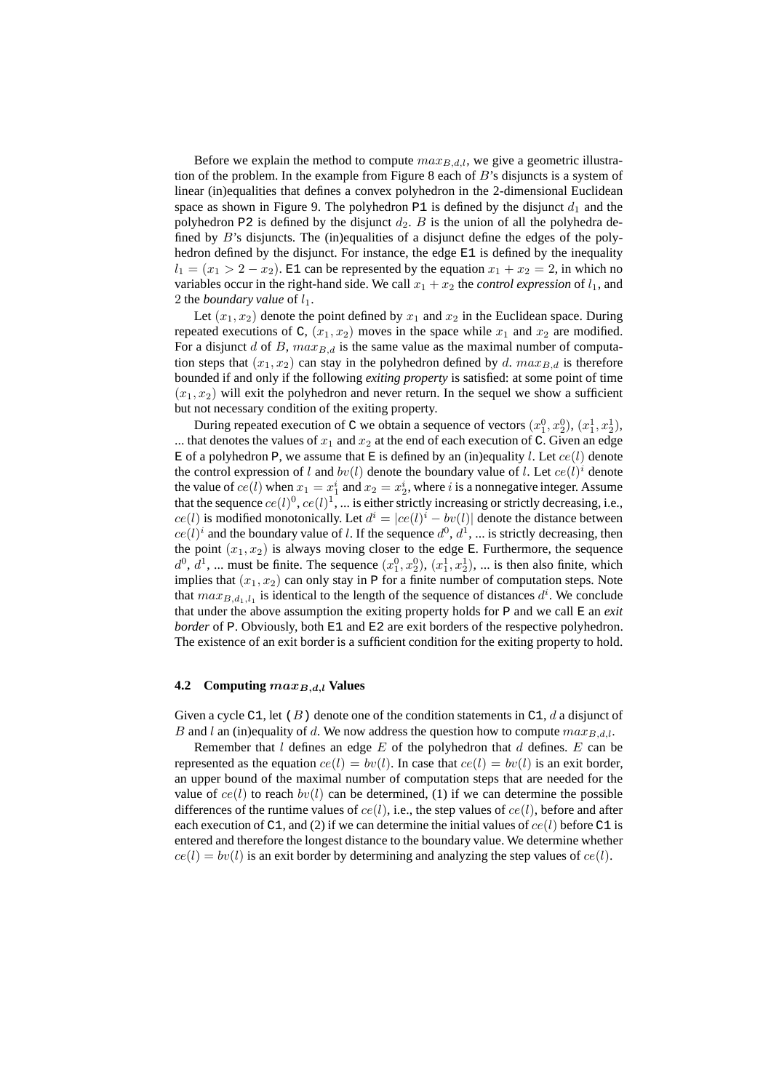Before we explain the method to compute  $max_{B,d,l}$ , we give a geometric illustration of the problem. In the example from Figure 8 each of  $B$ 's disjuncts is a system of linear (in)equalities that defines a convex polyhedron in the 2-dimensional Euclidean space as shown in Figure 9. The polyhedron P1 is defined by the disjunct  $d_1$  and the polyhedron P2 is defined by the disjunct  $d_2$ . B is the union of all the polyhedra defined by  $B$ 's disjuncts. The (in)equalities of a disjunct define the edges of the polyhedron defined by the disjunct. For instance, the edge  $E1$  is defined by the inequality  $l_1 = (x_1 > 2 - x_2)$ . E1 can be represented by the equation  $x_1 + x_2 = 2$ , in which no variables occur in the right-hand side. We call  $x_1 + x_2$  the *control expression* of  $l_1$ , and 2 the *boundary value* of  $l_1$ .

Let  $(x_1, x_2)$  denote the point defined by  $x_1$  and  $x_2$  in the Euclidean space. During repeated executions of C,  $(x_1, x_2)$  moves in the space while  $x_1$  and  $x_2$  are modified. For a disjunct d of B,  $max_{B,d}$  is the same value as the maximal number of computation steps that  $(x_1, x_2)$  can stay in the polyhedron defined by d.  $max_{BA}$  is therefore bounded if and only if the following *exiting property* is satisfied: at some point of time  $(x_1, x_2)$  will exit the polyhedron and never return. In the sequel we show a sufficient but not necessary condition of the exiting property.

During repeated execution of C we obtain a sequence of vectors  $(x_1^0, x_2^0), (x_1^1, x_2^1),$ ... that denotes the values of  $x_1$  and  $x_2$  at the end of each execution of C. Given an edge E of a polyhedron P, we assume that E is defined by an (in)equality l. Let  $ce(l)$  denote the control expression of l and  $bv(l)$  denote the boundary value of l. Let  $ce(l)^{i}$  denote the value of  $ce(l)$  when  $x_1 = x_1^i$  and  $x_2 = x_2^i$ , where i is a nonnegative integer. Assume that the sequence  $ce(l)^0$ ,  $ce(l)^1$ , ... is either strictly increasing or strictly decreasing, i.e.,  $ce(l)$  is modified monotonically. Let  $d^i = |ce(l)^i - bv(l)|$  denote the distance between  $ce(l)^{i}$  and the boundary value of l. If the sequence  $d^{0}$ ,  $d^{1}$ , ... is strictly decreasing, then the point  $(x_1, x_2)$  is always moving closer to the edge E. Furthermore, the sequence  $d^0$ ,  $d^1$ , ... must be finite. The sequence  $(x_1^0, x_2^0)$ ,  $(x_1^1, x_2^1)$ , ... is then also finite, which implies that  $(x_1, x_2)$  can only stay in P for a finite number of computation steps. Note that  $max_{B,d_1,l_1}$  is identical to the length of the sequence of distances  $d^i$ . We conclude that under the above assumption the exiting property holds for P and we call E an *exit border* of P. Obviously, both E1 and E2 are exit borders of the respective polyhedron. The existence of an exit border is a sufficient condition for the exiting property to hold.

#### **4.2** Computing  $max_{B,d,l}$  Values

Given a cycle C1, let (B) denote one of the condition statements in C1, d a disjunct of B and l an (in)equality of d. We now address the question how to compute  $max_{B,d,l}$ .

Remember that  $l$  defines an edge  $E$  of the polyhedron that  $d$  defines.  $E$  can be represented as the equation  $ce(l) = bv(l)$ . In case that  $ce(l) = bv(l)$  is an exit border, an upper bound of the maximal number of computation steps that are needed for the value of  $ce(l)$  to reach  $bv(l)$  can be determined, (1) if we can determine the possible differences of the runtime values of  $ce(l)$ , i.e., the step values of  $ce(l)$ , before and after each execution of C1, and (2) if we can determine the initial values of  $ce(l)$  before C1 is entered and therefore the longest distance to the boundary value. We determine whether  $ce(l) = bv(l)$  is an exit border by determining and analyzing the step values of  $ce(l)$ .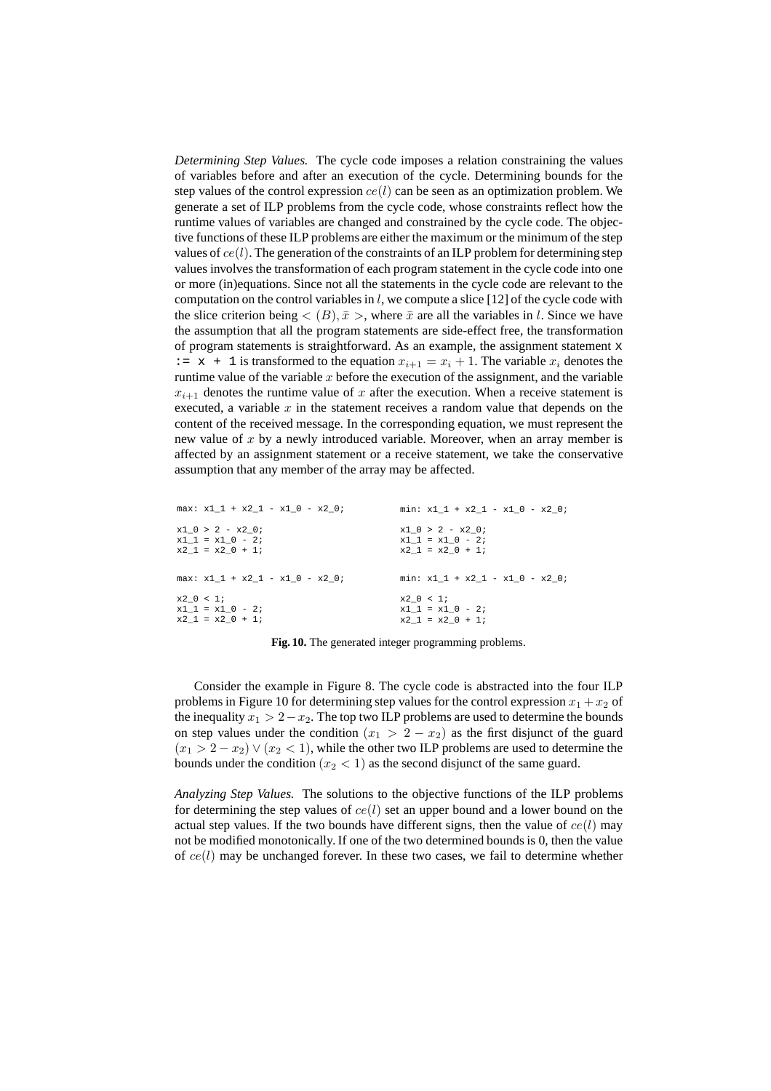*Determining Step Values.* The cycle code imposes a relation constraining the values of variables before and after an execution of the cycle. Determining bounds for the step values of the control expression  $ce(l)$  can be seen as an optimization problem. We generate a set of ILP problems from the cycle code, whose constraints reflect how the runtime values of variables are changed and constrained by the cycle code. The objective functions of these ILP problems are either the maximum or the minimum of the step values of  $ce(l)$ . The generation of the constraints of an ILP problem for determining step values involves the transformation of each program statement in the cycle code into one or more (in)equations. Since not all the statements in the cycle code are relevant to the computation on the control variables in  $l$ , we compute a slice [12] of the cycle code with the slice criterion being  $\langle (B), \bar{x} \rangle$ , where  $\bar{x}$  are all the variables in l. Since we have the assumption that all the program statements are side-effect free, the transformation of program statements is straightforward. As an example, the assignment statement x  $\therefore$   $\mathbf{x}$  + 1 is transformed to the equation  $x_{i+1} = x_i + 1$ . The variable  $x_i$  denotes the runtime value of the variable  $x$  before the execution of the assignment, and the variable  $x_{i+1}$  denotes the runtime value of x after the execution. When a receive statement is executed, a variable  $x$  in the statement receives a random value that depends on the content of the received message. In the corresponding equation, we must represent the new value of  $x$  by a newly introduced variable. Moreover, when an array member is affected by an assignment statement or a receive statement, we take the conservative assumption that any member of the array may be affected.

| $max: x1 1 + x2 1 - x1 0 - x2 0$                                    | min: $x1$ 1 + $x2$ 1 - $x1$ 0 - $x2$ 0;                             |
|---------------------------------------------------------------------|---------------------------------------------------------------------|
| $x1 \t0 > 2 - x2 \t0$<br>$x1 1 = x1 0 - 2i$<br>$x2$ 1 = $x2$ 0 + 1; | $x1 \t0 > 2 - x2 \t0$<br>$x1 1 = x1 0 - 2i$<br>$x2$ 1 = $x2$ 0 + 1; |
|                                                                     |                                                                     |
| $max: x1_1 + x2_1 - x1_0 - x2_0$                                    | min: $x1$ 1 + $x2$ 1 - $x1$ 0 - $x2$ 0;                             |

**Fig. 10.** The generated integer programming problems.

Consider the example in Figure 8. The cycle code is abstracted into the four ILP problems in Figure 10 for determining step values for the control expression  $x_1 + x_2$  of the inequality  $x_1 > 2-x_2$ . The top two ILP problems are used to determine the bounds on step values under the condition  $(x_1 > 2 - x_2)$  as the first disjunct of the guard  $(x_1 > 2 - x_2) \vee (x_2 < 1)$ , while the other two ILP problems are used to determine the bounds under the condition  $(x_2 < 1)$  as the second disjunct of the same guard.

*Analyzing Step Values.* The solutions to the objective functions of the ILP problems for determining the step values of  $ce(l)$  set an upper bound and a lower bound on the actual step values. If the two bounds have different signs, then the value of  $ce(l)$  may not be modified monotonically. If one of the two determined bounds is 0, then the value of  $ce(l)$  may be unchanged forever. In these two cases, we fail to determine whether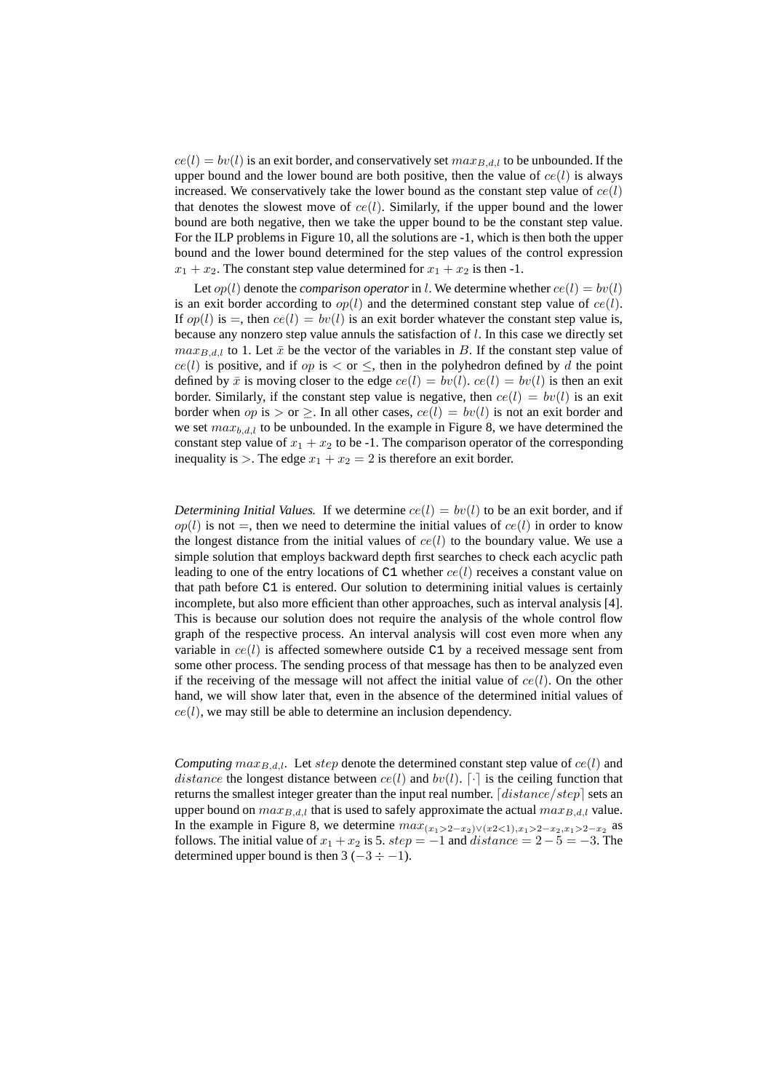$ce(l) = bv(l)$  is an exit border, and conservatively set  $max_{B,d,l}$  to be unbounded. If the upper bound and the lower bound are both positive, then the value of  $ce(l)$  is always increased. We conservatively take the lower bound as the constant step value of  $ce(l)$ that denotes the slowest move of  $ce(l)$ . Similarly, if the upper bound and the lower bound are both negative, then we take the upper bound to be the constant step value. For the ILP problems in Figure 10, all the solutions are -1, which is then both the upper bound and the lower bound determined for the step values of the control expression  $x_1 + x_2$ . The constant step value determined for  $x_1 + x_2$  is then -1.

Let  $op(l)$  denote the *comparison operator* in *l*. We determine whether  $ce(l) = bv(l)$ is an exit border according to  $op(l)$  and the determined constant step value of  $ce(l)$ . If  $op(l)$  is =, then  $ce(l) = bv(l)$  is an exit border whatever the constant step value is, because any nonzero step value annuls the satisfaction of  $l$ . In this case we directly set  $max_{B,d,l}$  to 1. Let  $\bar{x}$  be the vector of the variables in B. If the constant step value of  $ce(l)$  is positive, and if  $op$  is  $\lt$  or  $\leq$ , then in the polyhedron defined by d the point defined by  $\bar{x}$  is moving closer to the edge  $ce(l) = bv(l)$ .  $ce(l) = bv(l)$  is then an exit border. Similarly, if the constant step value is negative, then  $ce(l) = bv(l)$  is an exit border when  $op$  is  $>$  or  $\geq$ . In all other cases,  $ce(l) = bv(l)$  is not an exit border and we set  $max_{b,d,l}$  to be unbounded. In the example in Figure 8, we have determined the constant step value of  $x_1 + x_2$  to be -1. The comparison operator of the corresponding inequality is  $\geq$ . The edge  $x_1 + x_2 = 2$  is therefore an exit border.

*Determining Initial Values.* If we determine  $ce(l) = bv(l)$  to be an exit border, and if  $op(l)$  is not =, then we need to determine the initial values of  $ce(l)$  in order to know the longest distance from the initial values of  $ce(l)$  to the boundary value. We use a simple solution that employs backward depth first searches to check each acyclic path leading to one of the entry locations of  $C1$  whether  $ce(l)$  receives a constant value on that path before C1 is entered. Our solution to determining initial values is certainly incomplete, but also more efficient than other approaches, such as interval analysis [4]. This is because our solution does not require the analysis of the whole control flow graph of the respective process. An interval analysis will cost even more when any variable in  $ce(l)$  is affected somewhere outside C1 by a received message sent from some other process. The sending process of that message has then to be analyzed even if the receiving of the message will not affect the initial value of  $ce(l)$ . On the other hand, we will show later that, even in the absence of the determined initial values of  $ce(l)$ , we may still be able to determine an inclusion dependency.

*Computing*  $max_{B,d,l}$ . Let *step* denote the determined constant step value of  $ce(l)$  and distance the longest distance between  $ce(l)$  and  $bv(l)$ .  $\lceil·\rceil$  is the ceiling function that returns the smallest integer greater than the input real number.  $[distance/step]$  sets an upper bound on  $max_{B,d,l}$  that is used to safely approximate the actual  $max_{B,d,l}$  value. In the example in Figure 8, we determine  $max_{(x_1>2-x_2)\vee(x_2<1),x_1>2-x_2,x_1>2-x_2}$  as follows. The initial value of  $x_1 + x_2$  is 5.  $step = -1$  and  $distance = 2 - 5 = -3$ . The determined upper bound is then  $3(-3 \div -1)$ .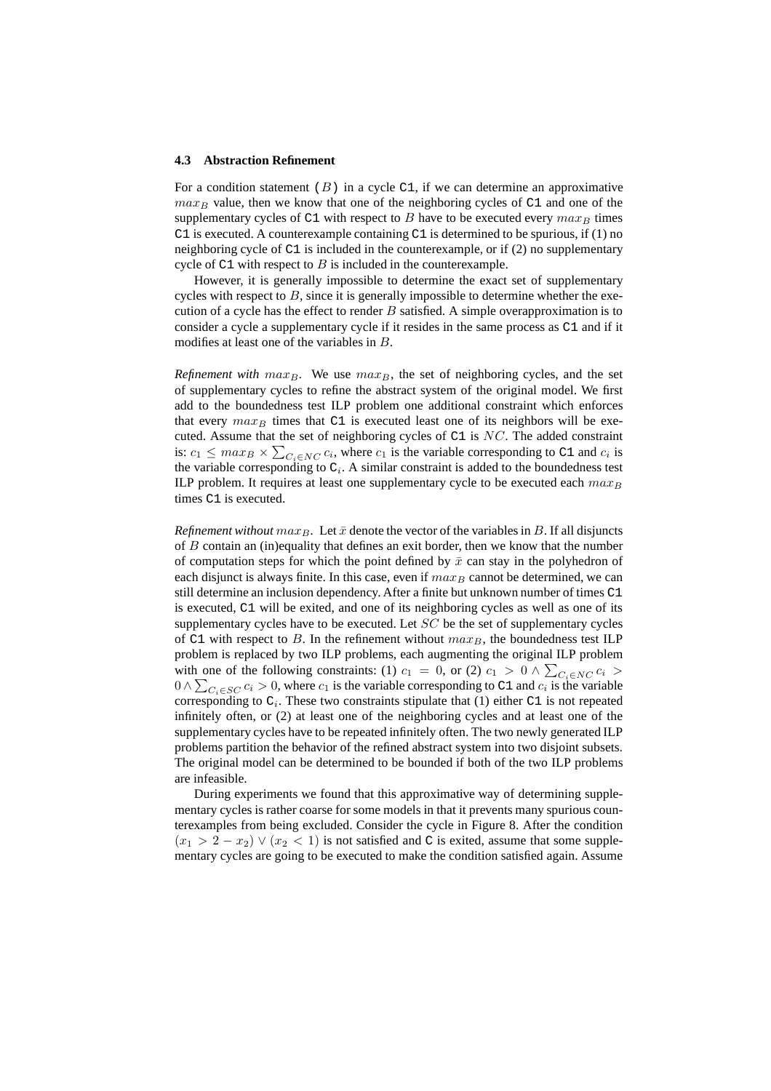#### **4.3 Abstraction Refinement**

For a condition statement ( $B$ ) in a cycle C1, if we can determine an approximative  $max_B$  value, then we know that one of the neighboring cycles of C1 and one of the supplementary cycles of C1 with respect to B have to be executed every  $max_B$  times C1 is executed. A counterexample containing C1 is determined to be spurious, if (1) no neighboring cycle of C1 is included in the counterexample, or if (2) no supplementary cycle of  $C1$  with respect to  $B$  is included in the counterexample.

However, it is generally impossible to determine the exact set of supplementary cycles with respect to  $B$ , since it is generally impossible to determine whether the execution of a cycle has the effect to render  $B$  satisfied. A simple overapproximation is to consider a cycle a supplementary cycle if it resides in the same process as C1 and if it modifies at least one of the variables in B.

*Refinement with*  $max_B$ *.* We use  $max_B$ , the set of neighboring cycles, and the set of supplementary cycles to refine the abstract system of the original model. We first add to the boundedness test ILP problem one additional constraint which enforces that every  $max_B$  times that C1 is executed least one of its neighbors will be executed. Assume that the set of neighboring cycles of  $C1$  is  $NC$ . The added constraint is:  $c_1 \leq max_B \times \sum_{C_i \in NC} c_i$ , where  $c_1$  is the variable corresponding to C1 and  $c_i$  is the variable corresponding to  $C_i$ . A similar constraint is added to the boundedness test ILP problem. It requires at least one supplementary cycle to be executed each  $max_B$ times C1 is executed.

*Refinement without*  $max_B$ . Let  $\bar{x}$  denote the vector of the variables in B. If all disjuncts of  $B$  contain an (in)equality that defines an exit border, then we know that the number of computation steps for which the point defined by  $\bar{x}$  can stay in the polyhedron of each disjunct is always finite. In this case, even if  $max_B$  cannot be determined, we can still determine an inclusion dependency. After a finite but unknown number of times C1 is executed, C1 will be exited, and one of its neighboring cycles as well as one of its supplementary cycles have to be executed. Let  $SC$  be the set of supplementary cycles of C1 with respect to B. In the refinement without  $max_B$ , the boundedness test ILP problem is replaced by two ILP problems, each augmenting the original ILP problem with one of the following constraints: (1)  $c_1 = 0$ , or (2)  $c_1 > 0 \land \sum_{C_i \in NC} c_i >$  $0 \wedge \sum_{C_i \in SC} c_i > 0$ , where  $c_1$  is the variable corresponding to C1 and  $c_i$  is the variable corresponding to  $C_i$ . These two constraints stipulate that (1) either  $C1$  is not repeated infinitely often, or (2) at least one of the neighboring cycles and at least one of the supplementary cycles have to be repeated infinitely often. The two newly generated ILP problems partition the behavior of the refined abstract system into two disjoint subsets. The original model can be determined to be bounded if both of the two ILP problems are infeasible.

During experiments we found that this approximative way of determining supplementary cycles is rather coarse for some models in that it prevents many spurious counterexamples from being excluded. Consider the cycle in Figure 8. After the condition  $(x_1 > 2 - x_2) \vee (x_2 < 1)$  is not satisfied and C is exited, assume that some supplementary cycles are going to be executed to make the condition satisfied again. Assume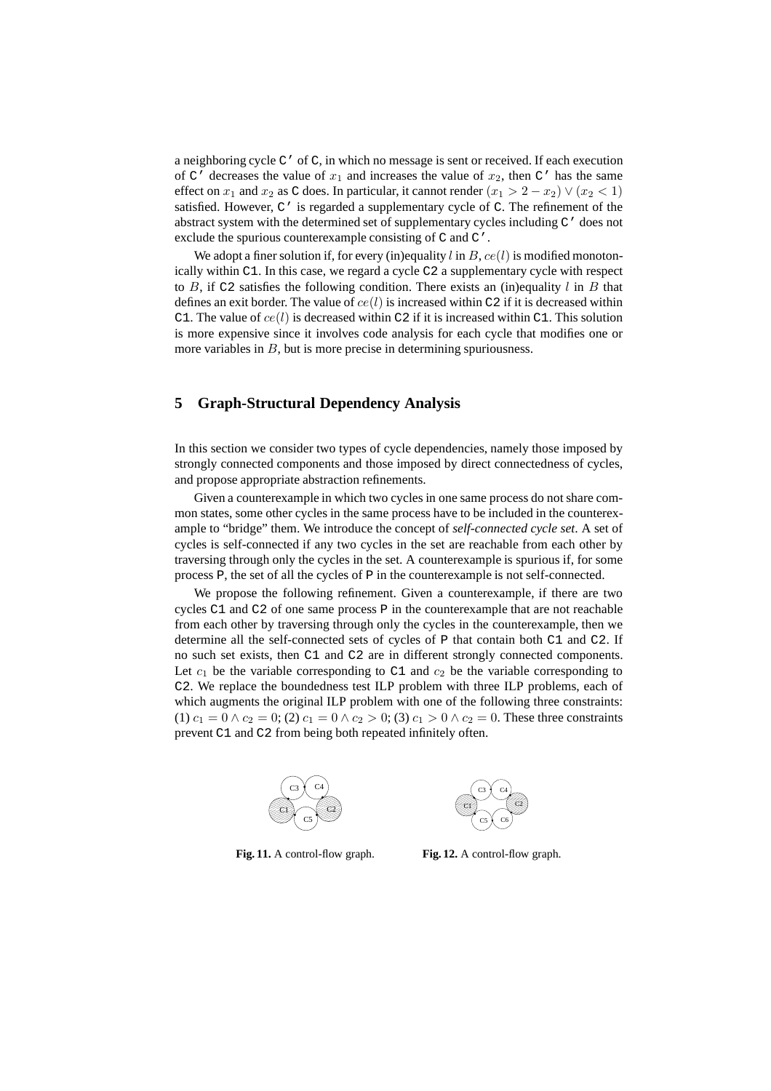a neighboring cycle C' of C, in which no message is sent or received. If each execution of C' decreases the value of  $x_1$  and increases the value of  $x_2$ , then C' has the same effect on  $x_1$  and  $x_2$  as C does. In particular, it cannot render  $(x_1 > 2 - x_2) \vee (x_2 < 1)$ satisfied. However,  $C'$  is regarded a supplementary cycle of C. The refinement of the abstract system with the determined set of supplementary cycles including C' does not exclude the spurious counterexample consisting of C and C'.

We adopt a finer solution if, for every (in)equality l in  $B$ ,  $ce(l)$  is modified monotonically within C1. In this case, we regard a cycle C2 a supplementary cycle with respect to B, if C2 satisfies the following condition. There exists an (in)equality l in B that defines an exit border. The value of  $ce(l)$  is increased within C2 if it is decreased within C1. The value of  $ce(l)$  is decreased within C2 if it is increased within C1. This solution is more expensive since it involves code analysis for each cycle that modifies one or more variables in B, but is more precise in determining spuriousness.

# **5 Graph-Structural Dependency Analysis**

In this section we consider two types of cycle dependencies, namely those imposed by strongly connected components and those imposed by direct connectedness of cycles, and propose appropriate abstraction refinements.

Given a counterexample in which two cycles in one same process do not share common states, some other cycles in the same process have to be included in the counterexample to "bridge" them. We introduce the concept of *self-connected cycle set*. A set of cycles is self-connected if any two cycles in the set are reachable from each other by traversing through only the cycles in the set. A counterexample is spurious if, for some process P, the set of all the cycles of P in the counterexample is not self-connected.

We propose the following refinement. Given a counterexample, if there are two cycles  $C1$  and  $C2$  of one same process P in the counterexample that are not reachable from each other by traversing through only the cycles in the counterexample, then we determine all the self-connected sets of cycles of P that contain both C1 and C2. If no such set exists, then C1 and C2 are in different strongly connected components. Let  $c_1$  be the variable corresponding to C1 and  $c_2$  be the variable corresponding to C2. We replace the boundedness test ILP problem with three ILP problems, each of which augments the original ILP problem with one of the following three constraints: (1)  $c_1 = 0 \land c_2 = 0$ ; (2)  $c_1 = 0 \land c_2 > 0$ ; (3)  $c_1 > 0 \land c_2 = 0$ . These three constraints prevent C1 and C2 from being both repeated infinitely often.





**Fig. 11.** A control-flow graph. **Fig. 12.** A control-flow graph.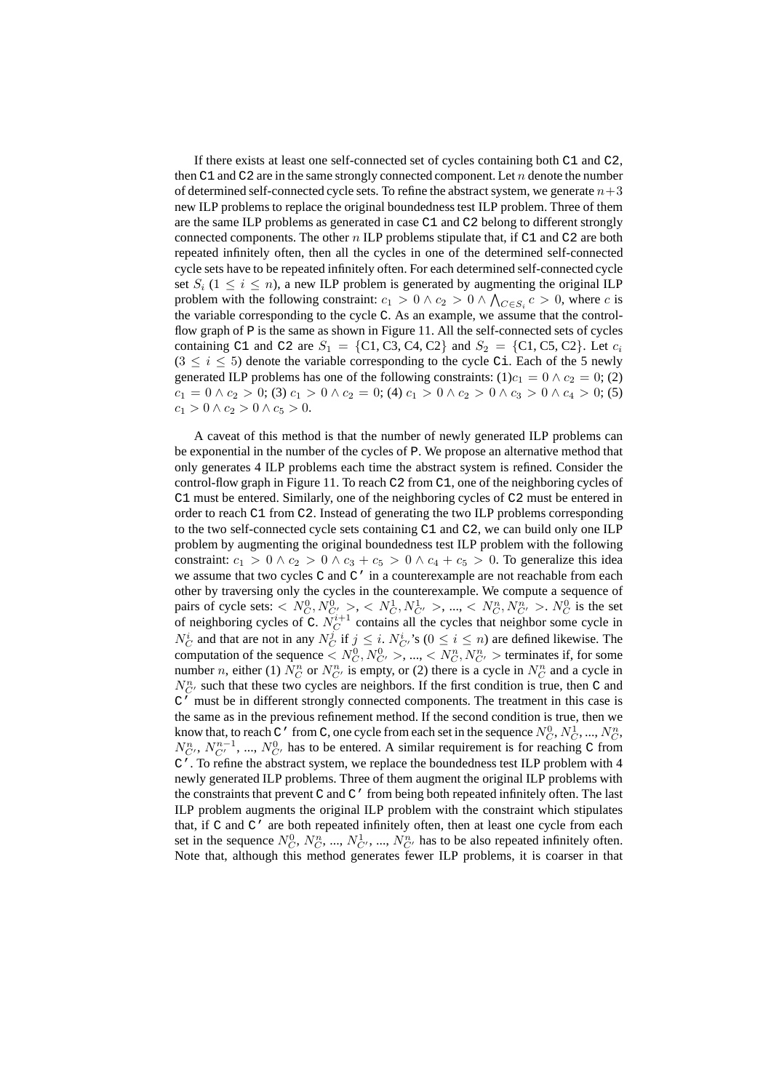If there exists at least one self-connected set of cycles containing both C1 and C2, then C1 and C2 are in the same strongly connected component. Let  $n$  denote the number of determined self-connected cycle sets. To refine the abstract system, we generate  $n+3$ new ILP problems to replace the original boundedness test ILP problem. Three of them are the same ILP problems as generated in case C1 and C2 belong to different strongly connected components. The other  $n$  ILP problems stipulate that, if  $C1$  and  $C2$  are both repeated infinitely often, then all the cycles in one of the determined self-connected cycle sets have to be repeated infinitely often. For each determined self-connected cycle set  $S_i$  ( $1 \le i \le n$ ), a new ILP problem is generated by augmenting the original ILP problem with the following constraint:  $c_1 > 0 \land c_2 > 0 \land \bigwedge_{C \in S_i} c > 0$ , where c is the variable corresponding to the cycle C. As an example, we assume that the controlflow graph of  $P$  is the same as shown in Figure 11. All the self-connected sets of cycles containing C1 and C2 are  $S_1 = \{C1, C3, C4, C2\}$  and  $S_2 = \{C1, C5, C2\}$ . Let  $c_i$  $(3 \le i \le 5)$  denote the variable corresponding to the cycle Ci. Each of the 5 newly generated ILP problems has one of the following constraints:  $(1)c_1 = 0 \wedge c_2 = 0$ ; (2)  $c_1 = 0 \land c_2 > 0$ ; (3)  $c_1 > 0 \land c_2 = 0$ ; (4)  $c_1 > 0 \land c_2 > 0 \land c_3 > 0 \land c_4 > 0$ ; (5)  $c_1 > 0 \wedge c_2 > 0 \wedge c_5 > 0.$ 

A caveat of this method is that the number of newly generated ILP problems can be exponential in the number of the cycles of P. We propose an alternative method that only generates 4 ILP problems each time the abstract system is refined. Consider the control-flow graph in Figure 11. To reach C2 from C1, one of the neighboring cycles of C1 must be entered. Similarly, one of the neighboring cycles of C2 must be entered in order to reach C1 from C2. Instead of generating the two ILP problems corresponding to the two self-connected cycle sets containing C1 and C2, we can build only one ILP problem by augmenting the original boundedness test ILP problem with the following constraint:  $c_1 > 0 \wedge c_2 > 0 \wedge c_3 + c_5 > 0 \wedge c_4 + c_5 > 0$ . To generalize this idea we assume that two cycles C and C' in a counterexample are not reachable from each other by traversing only the cycles in the counterexample. We compute a sequence of pairs of cycle sets:  $\langle N_C^0, N_{C'}^0 \rangle, \langle N_C^1, N_{C'}^1 \rangle, ..., \langle N_C^n, N_{C'}^n \rangle, N_C^0$  is the set of neighboring cycles of C.  $N_C^{i+1}$  contains all the cycles that neighbor some cycle in  $N_C^i$  and that are not in any  $N_C^j$  if  $j \leq i$ .  $N_{C'}^i$ 's ( $0 \leq i \leq n$ ) are defined likewise. The computation of the sequence  $\langle N_C^0, N_{C'}^0 \rangle$ , ...,  $\langle N_C^n, N_{C'}^n \rangle$  terminates if, for some number *n*, either (1)  $N_C^n$  or  $N_{C'}^n$  is empty, or (2) there is a cycle in  $N_C^n$  and a cycle in  $N_C^n$  such that these two cycles are neighbors. If the first condition is true, then C and C' must be in different strongly connected components. The treatment in this case is the same as in the previous refinement method. If the second condition is true, then we know that, to reach C  $'$  from C, one cycle from each set in the sequence  $N_C^0, N_C^1, ..., N_C^n$ ,  $N_C^n$ ,  $N_{C'}^{n-1}$ , ...,  $N_{C'}^0$  has to be entered. A similar requirement is for reaching C from C'. To refine the abstract system, we replace the boundedness test ILP problem with 4 newly generated ILP problems. Three of them augment the original ILP problems with the constraints that prevent  $C$  and  $C'$  from being both repeated infinitely often. The last ILP problem augments the original ILP problem with the constraint which stipulates that, if C and C' are both repeated infinitely often, then at least one cycle from each set in the sequence  $N_C^0$ ,  $N_C^n$ , ...,  $N_{C'}^1$ , ...,  $N_{C'}^n$  has to be also repeated infinitely often. Note that, although this method generates fewer ILP problems, it is coarser in that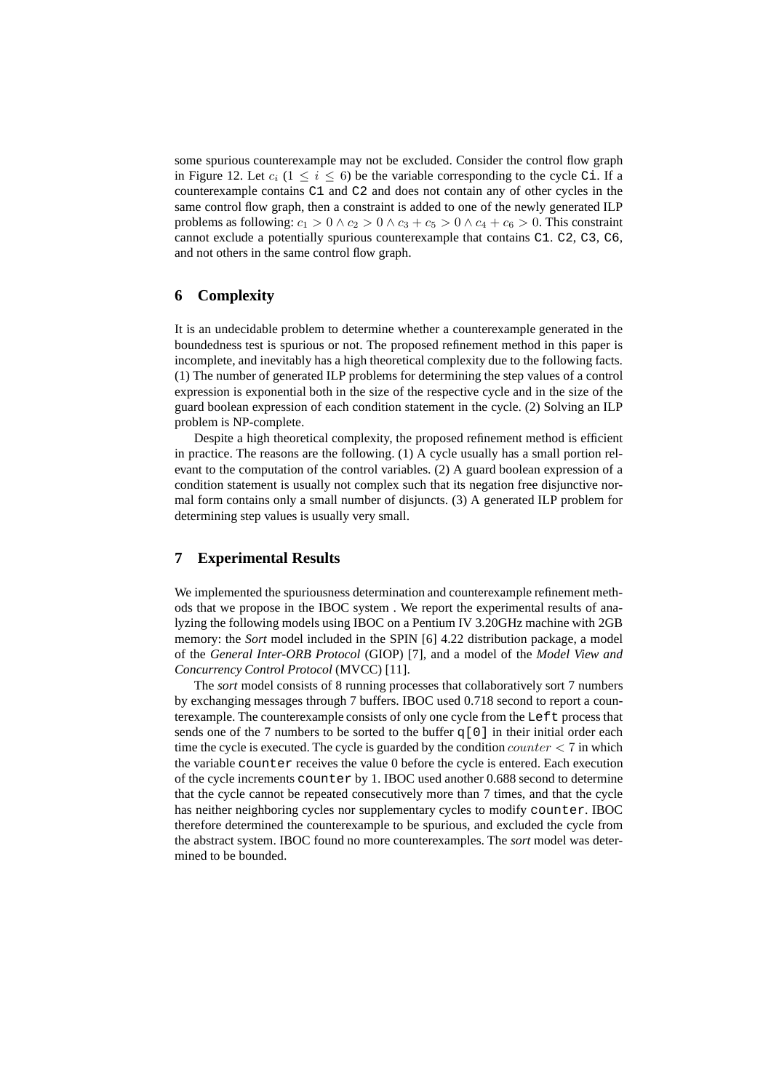some spurious counterexample may not be excluded. Consider the control flow graph in Figure 12. Let  $c_i$  ( $1 \le i \le 6$ ) be the variable corresponding to the cycle Ci. If a counterexample contains C1 and C2 and does not contain any of other cycles in the same control flow graph, then a constraint is added to one of the newly generated ILP problems as following:  $c_1 > 0 \wedge c_2 > 0 \wedge c_3 + c_5 > 0 \wedge c_4 + c_6 > 0$ . This constraint cannot exclude a potentially spurious counterexample that contains C1. C2, C3, C6, and not others in the same control flow graph.

# **6 Complexity**

It is an undecidable problem to determine whether a counterexample generated in the boundedness test is spurious or not. The proposed refinement method in this paper is incomplete, and inevitably has a high theoretical complexity due to the following facts. (1) The number of generated ILP problems for determining the step values of a control expression is exponential both in the size of the respective cycle and in the size of the guard boolean expression of each condition statement in the cycle. (2) Solving an ILP problem is NP-complete.

Despite a high theoretical complexity, the proposed refinement method is efficient in practice. The reasons are the following. (1) A cycle usually has a small portion relevant to the computation of the control variables. (2) A guard boolean expression of a condition statement is usually not complex such that its negation free disjunctive normal form contains only a small number of disjuncts. (3) A generated ILP problem for determining step values is usually very small.

## **7 Experimental Results**

We implemented the spuriousness determination and counterexample refinement methods that we propose in the IBOC system . We report the experimental results of analyzing the following models using IBOC on a Pentium IV 3.20GHz machine with 2GB memory: the *Sort* model included in the SPIN [6] 4.22 distribution package, a model of the *General Inter-ORB Protocol* (GIOP) [7], and a model of the *Model View and Concurrency Control Protocol* (MVCC) [11].

The *sort* model consists of 8 running processes that collaboratively sort 7 numbers by exchanging messages through 7 buffers. IBOC used 0.718 second to report a counterexample. The counterexample consists of only one cycle from the Left process that sends one of the 7 numbers to be sorted to the buffer  $q[0]$  in their initial order each time the cycle is executed. The cycle is guarded by the condition *counter*  $\lt 7$  in which the variable counter receives the value 0 before the cycle is entered. Each execution of the cycle increments counter by 1. IBOC used another 0.688 second to determine that the cycle cannot be repeated consecutively more than 7 times, and that the cycle has neither neighboring cycles nor supplementary cycles to modify counter. IBOC therefore determined the counterexample to be spurious, and excluded the cycle from the abstract system. IBOC found no more counterexamples. The *sort* model was determined to be bounded.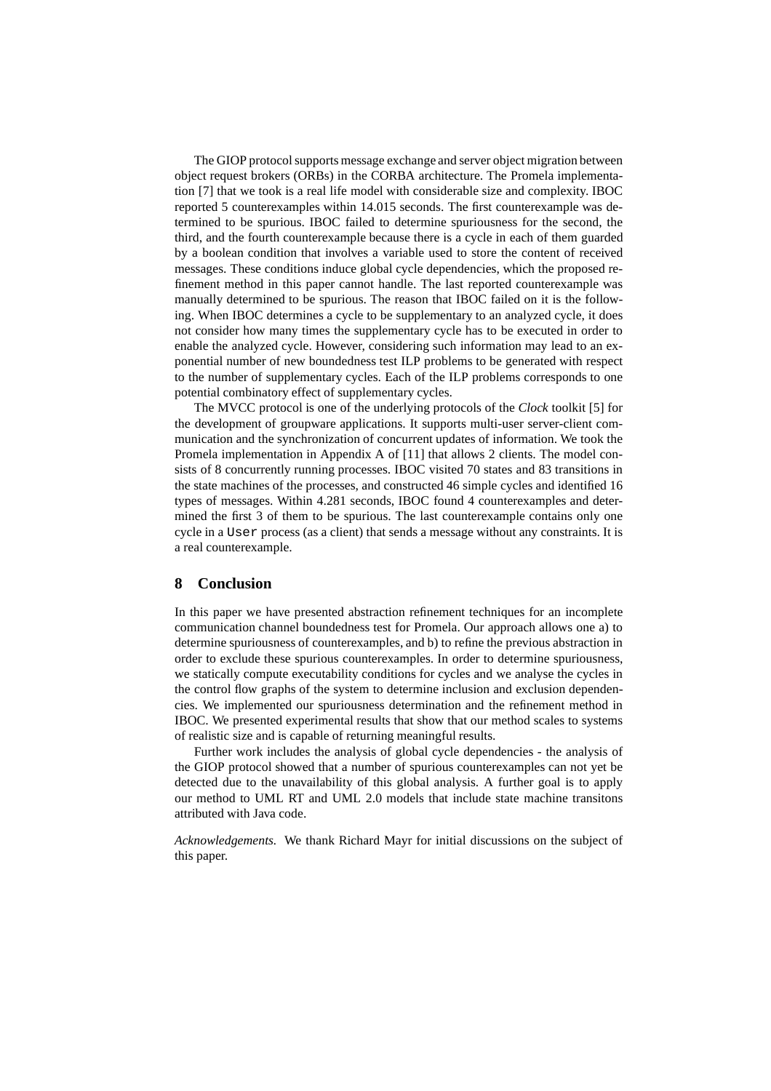The GIOP protocol supports message exchange and server object migration between object request brokers (ORBs) in the CORBA architecture. The Promela implementation [7] that we took is a real life model with considerable size and complexity. IBOC reported 5 counterexamples within 14.015 seconds. The first counterexample was determined to be spurious. IBOC failed to determine spuriousness for the second, the third, and the fourth counterexample because there is a cycle in each of them guarded by a boolean condition that involves a variable used to store the content of received messages. These conditions induce global cycle dependencies, which the proposed refinement method in this paper cannot handle. The last reported counterexample was manually determined to be spurious. The reason that IBOC failed on it is the following. When IBOC determines a cycle to be supplementary to an analyzed cycle, it does not consider how many times the supplementary cycle has to be executed in order to enable the analyzed cycle. However, considering such information may lead to an exponential number of new boundedness test ILP problems to be generated with respect to the number of supplementary cycles. Each of the ILP problems corresponds to one potential combinatory effect of supplementary cycles.

The MVCC protocol is one of the underlying protocols of the *Clock* toolkit [5] for the development of groupware applications. It supports multi-user server-client communication and the synchronization of concurrent updates of information. We took the Promela implementation in Appendix A of [11] that allows 2 clients. The model consists of 8 concurrently running processes. IBOC visited 70 states and 83 transitions in the state machines of the processes, and constructed 46 simple cycles and identified 16 types of messages. Within 4.281 seconds, IBOC found 4 counterexamples and determined the first 3 of them to be spurious. The last counterexample contains only one cycle in a User process (as a client) that sends a message without any constraints. It is a real counterexample.

### **8 Conclusion**

In this paper we have presented abstraction refinement techniques for an incomplete communication channel boundedness test for Promela. Our approach allows one a) to determine spuriousness of counterexamples, and b) to refine the previous abstraction in order to exclude these spurious counterexamples. In order to determine spuriousness, we statically compute executability conditions for cycles and we analyse the cycles in the control flow graphs of the system to determine inclusion and exclusion dependencies. We implemented our spuriousness determination and the refinement method in IBOC. We presented experimental results that show that our method scales to systems of realistic size and is capable of returning meaningful results.

Further work includes the analysis of global cycle dependencies - the analysis of the GIOP protocol showed that a number of spurious counterexamples can not yet be detected due to the unavailability of this global analysis. A further goal is to apply our method to UML RT and UML 2.0 models that include state machine transitons attributed with Java code.

*Acknowledgements.* We thank Richard Mayr for initial discussions on the subject of this paper.